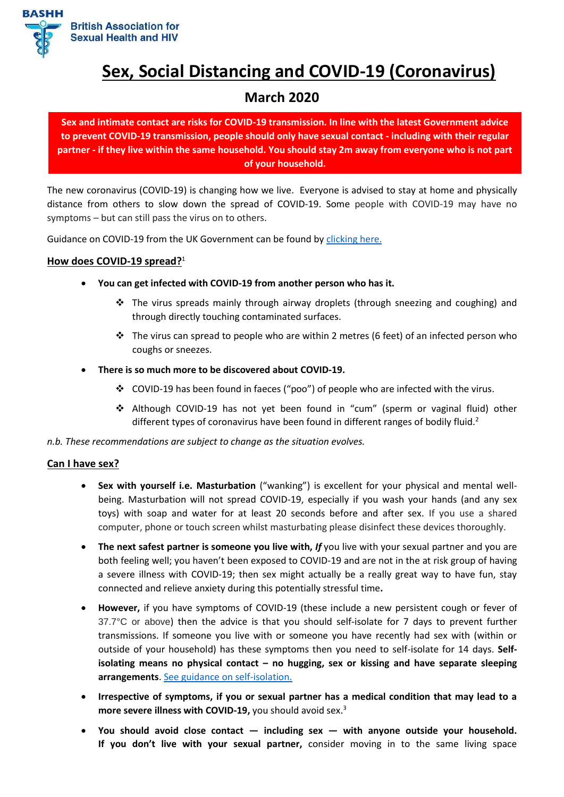

# **Sex, Social Distancing and COVID-19 (Coronavirus)**

# **March 2020**

**Sex and intimate contact are risks for COVID-19 transmission. In line with the latest Government advice to prevent COVID-19 transmission, people should only have sexual contact - including with their regular partner - if they live within the same household. You should stay 2m away from everyone who is not part of your household.**

The new coronavirus (COVID-19) is changing how we live. Everyone is advised to stay at home and physically distance from others to slow down the spread of COVID-19. Some people with COVID-19 may have no symptoms – but can still pass the virus on to others.

Guidance on COVID-19 from the UK Government can be found b[y clicking here.](https://www.gov.uk/coronavirus)

# **How does COVID-19 spread?** 1

- **You can get infected with COVID-19 from another person who has it.** 
	- ❖ The virus spreads mainly through airway droplets (through sneezing and coughing) and through directly touching contaminated surfaces.
	- $\cdot \cdot$  The virus can spread to people who are within 2 metres (6 feet) of an infected person who coughs or sneezes.
- **There is so much more to be discovered about COVID-19.**
	- ❖ COVID-19 has been found in faeces ("poo") of people who are infected with the virus.
	- ❖ Although COVID-19 has not yet been found in "cum" (sperm or vaginal fluid) other different types of coronavirus have been found in different ranges of bodily fluid.<sup>2</sup>

*n.b. These recommendations are subject to change as the situation evolves.*

#### **Can I have sex?**

- **Sex with yourself i.e. Masturbation** ("wanking") is excellent for your physical and mental wellbeing. Masturbation will not spread COVID-19, especially if you wash your hands (and any sex toys) with soap and water for at least 20 seconds before and after sex. If you use a shared computer, phone or touch screen whilst masturbating please disinfect these devices thoroughly.
- The next safest partner is someone you live with, If you live with your sexual partner and you are both feeling well; you haven't been exposed to COVID-19 and are not in the at risk group of having a severe illness with COVID-19; then sex might actually be a really great way to have fun, stay connected and relieve anxiety during this potentially stressful time**.**
- **However,** if you have symptoms of COVID-19 (these include a new persistent cough or fever of 37.7°C or above) then the advice is that you should self-isolate for 7 days to prevent further transmissions. If someone you live with or someone you have recently had sex with (within or outside of your household) has these symptoms then you need to self-isolate for 14 days. **Selfisolating means no physical contact – no hugging, sex or kissing and have separate sleeping arrangements**. [See guidance on self-isolation.](https://www.nhs.uk/conditions/coronavirus-covid-19/self-isolation-advice/)
- **Irrespective of symptoms, if you or sexual partner has a medical condition that may lead to a more severe illness with COVID-19,** you should avoid sex.<sup>3</sup>
- **You should avoid close contact — including sex — with anyone outside your household. If you don't live with your sexual partner,** consider moving in to the same living space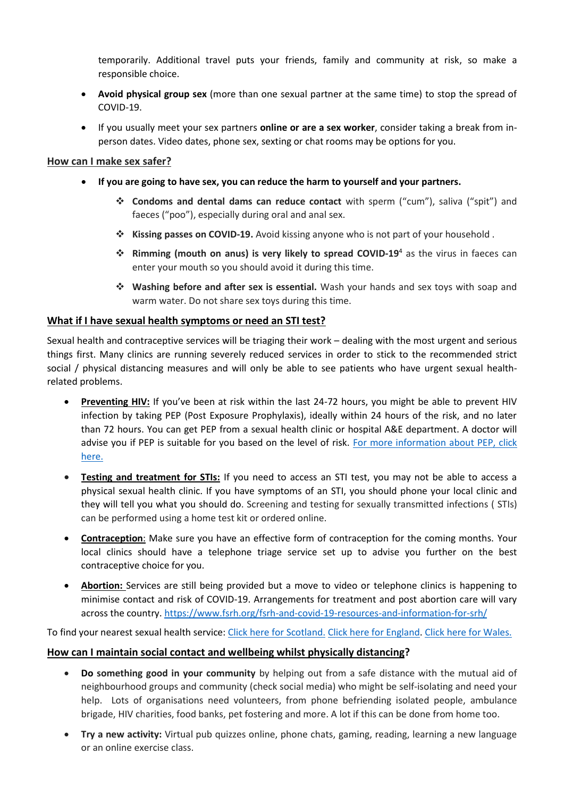temporarily. Additional travel puts your friends, family and community at risk, so make a responsible choice.

- **Avoid physical group sex** (more than one sexual partner at the same time) to stop the spread of COVID-19.
- If you usually meet your sex partners **online or are a sex worker**, consider taking a break from inperson dates. Video dates, phone sex, sexting or chat rooms may be options for you.

## **How can I make sex safer?**

- **If you are going to have sex, you can reduce the harm to yourself and your partners.**
	- ❖ **Condoms and dental dams can reduce contact** with sperm ("cum"), saliva ("spit") and faeces ("poo"), especially during oral and anal sex.
	- ❖ **Kissing passes on COVID-19.** Avoid kissing anyone who is not part of your household .
	- ❖ **Rimming (mouth on anus) is very likely to spread COVID-19**<sup>4</sup> as the virus in faeces can enter your mouth so you should avoid it during this time.
	- ❖ **Washing before and after sex is essential.** Wash your hands and sex toys with soap and warm water. Do not share sex toys during this time.

# **What if I have sexual health symptoms or need an STI test?**

Sexual health and contraceptive services will be triaging their work – dealing with the most urgent and serious things first. Many clinics are running severely reduced services in order to stick to the recommended strict social / physical distancing measures and will only be able to see patients who have urgent sexual healthrelated problems.

- **Preventing HIV:** If you've been at risk within the last 24-72 hours, you might be able to prevent HIV infection by taking PEP (Post Exposure Prophylaxis), ideally within 24 hours of the risk, and no later than 72 hours. You can get PEP from a sexual health clinic or hospital A&E department. A doctor will advise you if PEP is suitable for you based on the level of risk. [For more information](https://www.nhs.uk/common-health-questions/medicines/can-post-exposure-prophylaxis-pep-stop-me-getting-hiv/) about PEP, click [here.](https://www.nhs.uk/common-health-questions/medicines/can-post-exposure-prophylaxis-pep-stop-me-getting-hiv/)
- **Testing and treatment for STIs:** If you need to access an STI test, you may not be able to access a physical sexual health clinic. If you have symptoms of an STI, you should phone your local clinic and they will tell you what you should do. Screening and testing for sexually transmitted infections ( STIs) can be performed using a home test kit or ordered online.
- **Contraception**: Make sure you have an effective form of contraception for the coming months. Your local clinics should have a telephone triage service set up to advise you further on the best contraceptive choice for you.
- **Abortion:** Services are still being provided but a move to video or telephone clinics is happening to minimise contact and risk of COVID-19. Arrangements for treatment and post abortion care will vary across the country[. https://www.fsrh.org/fsrh-and-covid-19-resources-and-information-for-srh/](https://www.fsrh.org/fsrh-and-covid-19-resources-and-information-for-srh/)

To find your nearest sexual health service[: Click here for Scotland.](https://s-x.scot/service-finder/) [Click here for](https://www.nhs.uk/service-search/sexual-health/find-a-sexual-health-clinic) England[. Click here for](https://www.nhsdirect.wales.nhs.uk/LocalServices/?s=sexualhealth) Wales.

#### **How can I maintain social contact and wellbeing whilst physically distancing?**

- **Do something good in your community** by helping out from a safe distance with the mutual aid of neighbourhood groups and community (check social media) who might be self-isolating and need your help. Lots of organisations need volunteers, from phone befriending isolated people, ambulance brigade, HIV charities, food banks, pet fostering and more. A lot if this can be done from home too.
- **Try a new activity:** Virtual pub quizzes online, phone chats, gaming, reading, learning a new language or an online exercise class.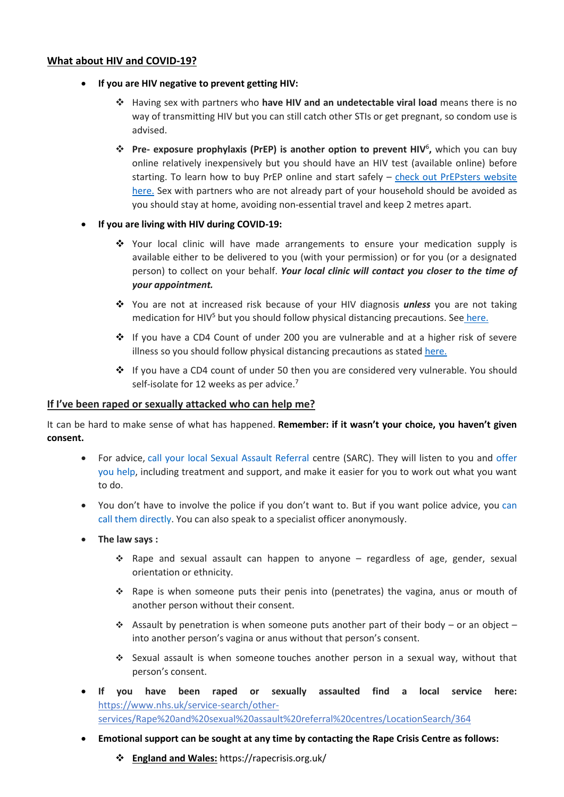#### **What about HIV and COVID-19?**

- **If you are HIV negative to prevent getting HIV:**
	- ❖ Having sex with partners who **have HIV and an undetectable viral load** means there is no way of transmitting HIV but you can still catch other STIs or get pregnant, so condom use is advised.
	- ❖ **Pre- exposure prophylaxis (PrEP) is another option to prevent HIV**<sup>6</sup> **,** which you can buy online relatively inexpensively but you should have an HIV test (available online) before starting. To learn how to buy PrEP online and start safely – [check out PrEPsters website](https://prepster.info/buying-prep-online/)  [here.](https://prepster.info/buying-prep-online/) Sex with partners who are not already part of your household should be avoided as you should stay at home, avoiding non-essential travel and keep 2 metres apart.

#### • **If you are living with HIV during COVID-19:**

- ❖ Your local clinic will have made arrangements to ensure your medication supply is available either to be delivered to you (with your permission) or for you (or a designated person) to collect on your behalf. *Your local clinic will contact you closer to the time of your appointment.*
- ❖ You are not at increased risk because of your HIV diagnosis *unless* you are not taking medication for HIV $5$  but you should follow physical distancing precautions. See [here.](https://www.gov.uk/coronavirus)
- ❖ If you have a CD4 Count of under 200 you are vulnerable and at a higher risk of severe illness so you should follow physical distancing precautions as state[d here.](https://www.gov.uk/coronavirus)
- ❖ If you have a CD4 count of under 50 then you are considered very vulnerable. You should self-isolate for 12 weeks as per advice.<sup>7</sup>

#### **If I've been raped or sexually attacked who can help me?**

It can be hard to make sense of what has happened. **Remember: if it wasn't your choice, you haven't given consent.**

- For advice, [call your local Sexual Assault Referral c](https://www.thehavens.org.uk/visiting-us/making-an-appointment/)entre (SARC). They will listen to you and [offer](https://www.thehavens.org.uk/how-we-can-help/how-do-i-get-help/)  [you help,](https://www.thehavens.org.uk/how-we-can-help/how-do-i-get-help/) including treatment and support, and make it easier for you to work out what you want to do.
- You don't have to involve the police if you don't want to. But if you want police advice, you [can](https://www.thehavens.org.uk/how-we-can-help/how-do-i-get-help/report-the-assault/)  [call them directly](https://www.thehavens.org.uk/how-we-can-help/how-do-i-get-help/report-the-assault/). You can also speak to a specialist officer anonymously.
- **The law says :**
	- ❖ Rape and sexual assault can happen to anyone regardless of age, gender, sexual orientation or ethnicity.
	- ❖ Rape is when someone puts their penis into (penetrates) the vagina, anus or mouth of another person without their consent.
	- $\dots$  Assault by penetration is when someone puts another part of their body or an object into another person's vagina or anus without that person's consent.
	- ❖ Sexual assault is when someone touches another person in a sexual way, without that person's consent.
- **If you have been raped or sexually assaulted find a local service here:** [https://www.nhs.uk/service-search/other](https://www.nhs.uk/service-search/other-services/Rape%20and%20sexual%20assault%20referral%20centres/LocationSearch/364)[services/Rape%20and%20sexual%20assault%20referral%20centres/LocationSearch/364](https://www.nhs.uk/service-search/other-services/Rape%20and%20sexual%20assault%20referral%20centres/LocationSearch/364)
- **Emotional support can be sought at any time by contacting the Rape Crisis Centre as follows:**
	- ❖ **England and Wales:** <https://rapecrisis.org.uk/>